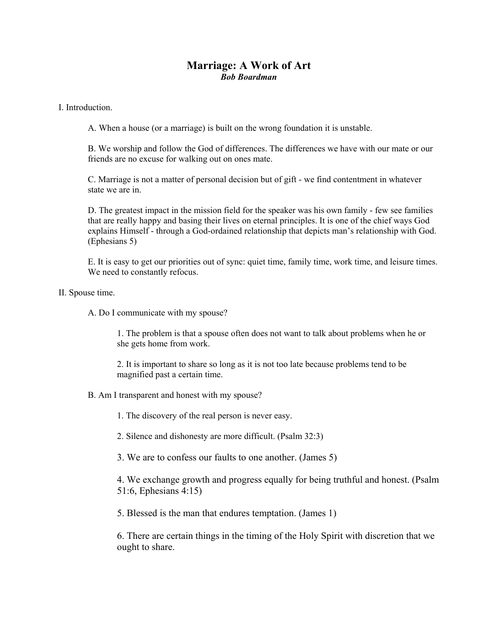## **Marriage: A Work of Art**  *Bob Boardman*

## I. Introduction.

A. When a house (or a marriage) is built on the wrong foundation it is unstable.

B. We worship and follow the God of differences. The differences we have with our mate or our friends are no excuse for walking out on ones mate.

C. Marriage is not a matter of personal decision but of gift - we find contentment in whatever state we are in.

D. The greatest impact in the mission field for the speaker was his own family - few see families that are really happy and basing their lives on eternal principles. It is one of the chief ways God explains Himself - through a God-ordained relationship that depicts man's relationship with God. (Ephesians 5)

E. It is easy to get our priorities out of sync: quiet time, family time, work time, and leisure times. We need to constantly refocus.

## II. Spouse time.

A. Do I communicate with my spouse?

1. The problem is that a spouse often does not want to talk about problems when he or she gets home from work.

2. It is important to share so long as it is not too late because problems tend to be magnified past a certain time.

B. Am I transparent and honest with my spouse?

1. The discovery of the real person is never easy.

2. Silence and dishonesty are more difficult. (Psalm 32:3)

3. We are to confess our faults to one another. (James 5)

4. We exchange growth and progress equally for being truthful and honest. (Psalm 51:6, Ephesians 4:15)

5. Blessed is the man that endures temptation. (James 1)

6. There are certain things in the timing of the Holy Spirit with discretion that we ought to share.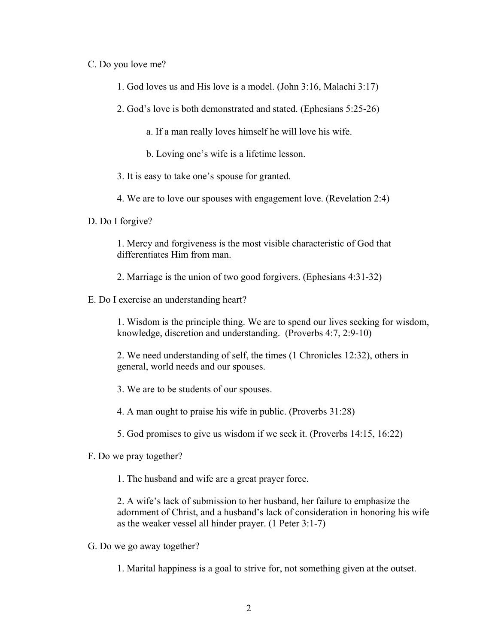## C. Do you love me?

- 1. God loves us and His love is a model. (John 3:16, Malachi 3:17)
- 2. God's love is both demonstrated and stated. (Ephesians 5:25-26)
	- a. If a man really loves himself he will love his wife.
	- b. Loving one's wife is a lifetime lesson.
- 3. It is easy to take one's spouse for granted.
- 4. We are to love our spouses with engagement love. (Revelation 2:4)
- D. Do I forgive?

1. Mercy and forgiveness is the most visible characteristic of God that differentiates Him from man.

- 2. Marriage is the union of two good forgivers. (Ephesians 4:31-32)
- E. Do I exercise an understanding heart?

1. Wisdom is the principle thing. We are to spend our lives seeking for wisdom, knowledge, discretion and understanding. (Proverbs 4:7, 2:9-10)

2. We need understanding of self, the times (1 Chronicles 12:32), others in general, world needs and our spouses.

- 3. We are to be students of our spouses.
- 4. A man ought to praise his wife in public. (Proverbs 31:28)
- 5. God promises to give us wisdom if we seek it. (Proverbs 14:15, 16:22)
- F. Do we pray together?
	- 1. The husband and wife are a great prayer force.

2. A wife's lack of submission to her husband, her failure to emphasize the adornment of Christ, and a husband's lack of consideration in honoring his wife as the weaker vessel all hinder prayer. (1 Peter 3:1-7)

- G. Do we go away together?
	- 1. Marital happiness is a goal to strive for, not something given at the outset.